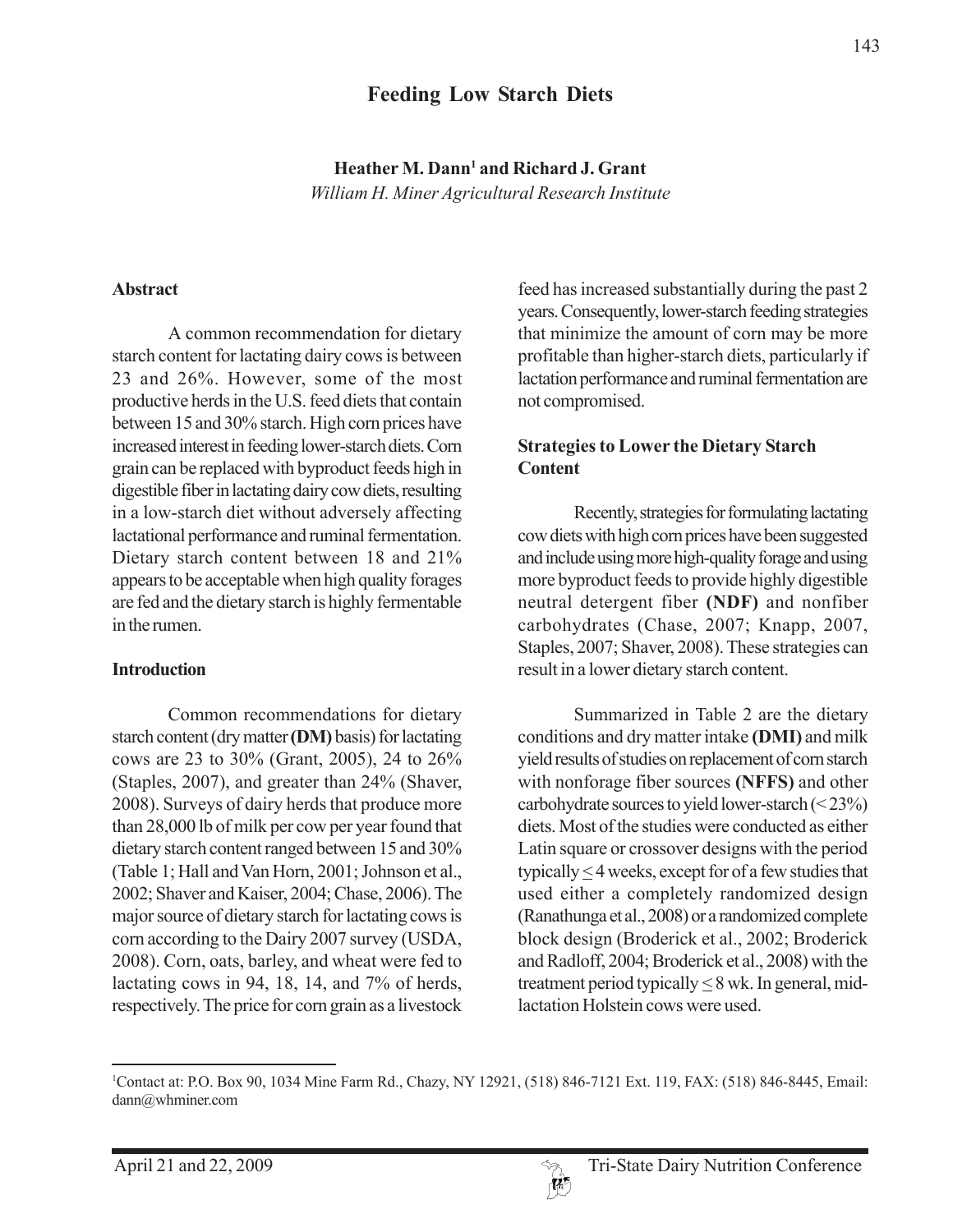# **Feeding Low Starch Diets**

Heather M. Dann<sup>1</sup> and Richard J. Grant *William H. Miner Agricultural Research Institute*

#### **Abstract**

A common recommendation for dietary starch content for lactating dairy cows is between 23 and 26%. However, some of the most productive herds in the U.S. feed diets that contain between 15 and 30% starch. High corn prices have increased interest in feeding lower-starch diets. Corn grain can be replaced with byproduct feeds high in digestible fiber in lactating dairy cow diets, resulting in a low-starch diet without adversely affecting lactational performance and ruminal fermentation. Dietary starch content between 18 and 21% appears to be acceptable when high quality forages are fed and the dietary starch is highly fermentable in the rumen.

#### **Introduction**

Common recommendations for dietary starch content (dry matter **(DM)** basis) for lactating cows are 23 to 30% (Grant, 2005), 24 to 26% (Staples, 2007), and greater than 24% (Shaver, 2008). Surveys of dairy herds that produce more than 28,000 lb of milk per cow per year found that dietary starch content ranged between 15 and 30% (Table 1; Hall and Van Horn, 2001; Johnson et al., 2002; Shaver and Kaiser, 2004; Chase, 2006). The major source of dietary starch for lactating cows is corn according to the Dairy 2007 survey (USDA, 2008). Corn, oats, barley, and wheat were fed to lactating cows in 94, 18, 14, and 7% of herds, respectively. The price for corn grain as a livestock

feed has increased substantially during the past 2 years. Consequently, lower-starch feeding strategies that minimize the amount of corn may be more profitable than higher-starch diets, particularly if lactation performance and ruminal fermentation are not compromised.

#### **Strategies to Lower the Dietary Starch Content**

Recently, strategies for formulating lactating cow diets with high corn prices have been suggested and include using more high-quality forage and using more byproduct feeds to provide highly digestible neutral detergent fiber **(NDF)** and nonfiber carbohydrates (Chase, 2007; Knapp, 2007, Staples, 2007; Shaver, 2008). These strategies can result in a lower dietary starch content.

Summarized in Table 2 are the dietary conditions and dry matter intake **(DMI)** and milk yield results of studies on replacement of corn starch with nonforage fiber sources **(NFFS)** and other carbohydrate sources to yield lower-starch (< 23%) diets. Most of the studies were conducted as either Latin square or crossover designs with the period typically  $\leq$  4 weeks, except for of a few studies that used either a completely randomized design (Ranathunga et al., 2008) or a randomized complete block design (Broderick et al., 2002; Broderick and Radloff, 2004; Broderick et al., 2008) with the treatment period typically  $\leq 8$  wk. In general, midlactation Holstein cows were used.

<sup>1</sup> Contact at: P.O. Box 90, 1034 Mine Farm Rd., Chazy, NY 12921, (518) 846-7121 Ext. 119, FAX: (518) 846-8445, Email: dann@whminer.com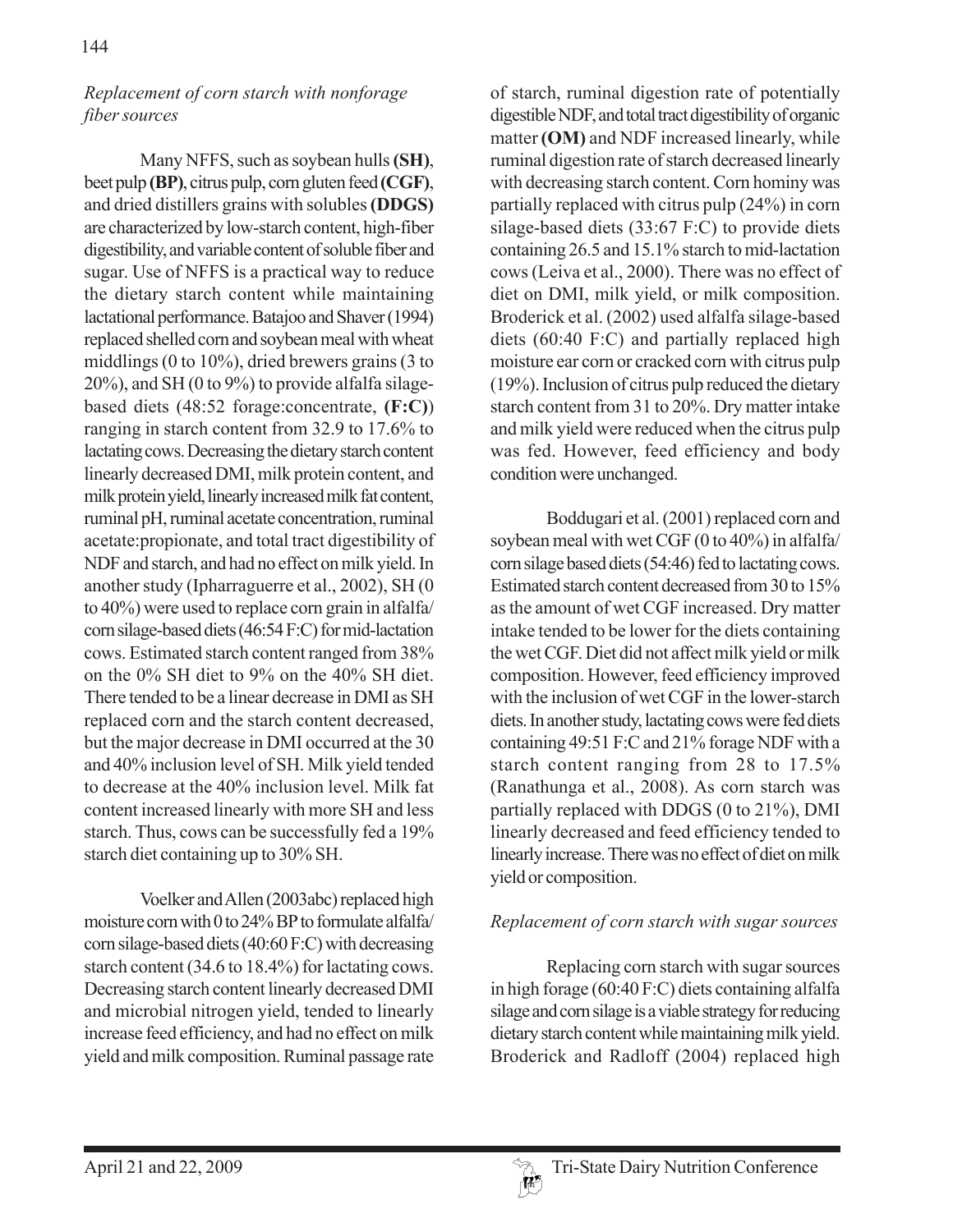### *Replacement of corn starch with nonforage fiber sources*

Many NFFS, such as soybean hulls **(SH)**, beet pulp **(BP)**, citrus pulp, corn gluten feed **(CGF)**, and dried distillers grains with solubles **(DDGS)** are characterized by low-starch content, high-fiber digestibility, and variable content of soluble fiber and sugar. Use of NFFS is a practical way to reduce the dietary starch content while maintaining lactational performance. Batajoo and Shaver (1994) replaced shelled corn and soybean meal with wheat middlings (0 to 10%), dried brewers grains (3 to 20%), and SH (0 to 9%) to provide alfalfa silagebased diets (48:52 forage:concentrate, **(F:C)**) ranging in starch content from 32.9 to 17.6% to lactating cows. Decreasing the dietary starch content linearly decreased DMI, milk protein content, and milk protein yield, linearly increased milk fat content, ruminal pH, ruminal acetate concentration, ruminal acetate:propionate, and total tract digestibility of NDF and starch, and had no effect on milk yield. In another study (Ipharraguerre et al., 2002), SH (0 to 40%) were used to replace corn grain in alfalfa/ corn silage-based diets (46:54 F:C) for mid-lactation cows. Estimated starch content ranged from 38% on the 0% SH diet to 9% on the 40% SH diet. There tended to be a linear decrease in DMI as SH replaced corn and the starch content decreased, but the major decrease in DMI occurred at the 30 and 40% inclusion level of SH. Milk yield tended to decrease at the 40% inclusion level. Milk fat content increased linearly with more SH and less starch. Thus, cows can be successfully fed a 19% starch diet containing up to 30% SH.

Voelker and Allen (2003abc) replaced high moisture corn with 0 to 24% BP to formulate alfalfa/ corn silage-based diets (40:60 F:C) with decreasing starch content (34.6 to 18.4%) for lactating cows. Decreasing starch content linearly decreased DMI and microbial nitrogen yield, tended to linearly increase feed efficiency, and had no effect on milk yield and milk composition. Ruminal passage rate

of starch, ruminal digestion rate of potentially digestible NDF, and total tract digestibility of organic matter **(OM)** and NDF increased linearly, while ruminal digestion rate of starch decreased linearly with decreasing starch content. Corn hominy was partially replaced with citrus pulp (24%) in corn silage-based diets (33:67 F:C) to provide diets containing 26.5 and 15.1% starch to mid-lactation cows (Leiva et al., 2000). There was no effect of diet on DMI, milk yield, or milk composition. Broderick et al. (2002) used alfalfa silage-based diets (60:40 F:C) and partially replaced high moisture ear corn or cracked corn with citrus pulp (19%). Inclusion of citrus pulp reduced the dietary starch content from 31 to 20%. Dry matter intake and milk yield were reduced when the citrus pulp was fed. However, feed efficiency and body condition were unchanged.

Boddugari et al. (2001) replaced corn and soybean meal with wet CGF (0 to 40%) in alfalfa/ corn silage based diets (54:46) fed to lactating cows. Estimated starch content decreased from 30 to 15% as the amount of wet CGF increased. Dry matter intake tended to be lower for the diets containing the wet CGF. Diet did not affect milk yield or milk composition. However, feed efficiency improved with the inclusion of wet CGF in the lower-starch diets. In another study, lactating cows were fed diets containing 49:51 F:C and 21% forage NDF with a starch content ranging from 28 to 17.5% (Ranathunga et al., 2008). As corn starch was partially replaced with DDGS (0 to 21%), DMI linearly decreased and feed efficiency tended to linearly increase. There was no effect of diet on milk yield or composition.

### *Replacement of corn starch with sugar sources*

Replacing corn starch with sugar sources in high forage (60:40 F:C) diets containing alfalfa silage and corn silage is a viable strategy for reducing dietary starch content while maintaining milk yield. Broderick and Radloff (2004) replaced high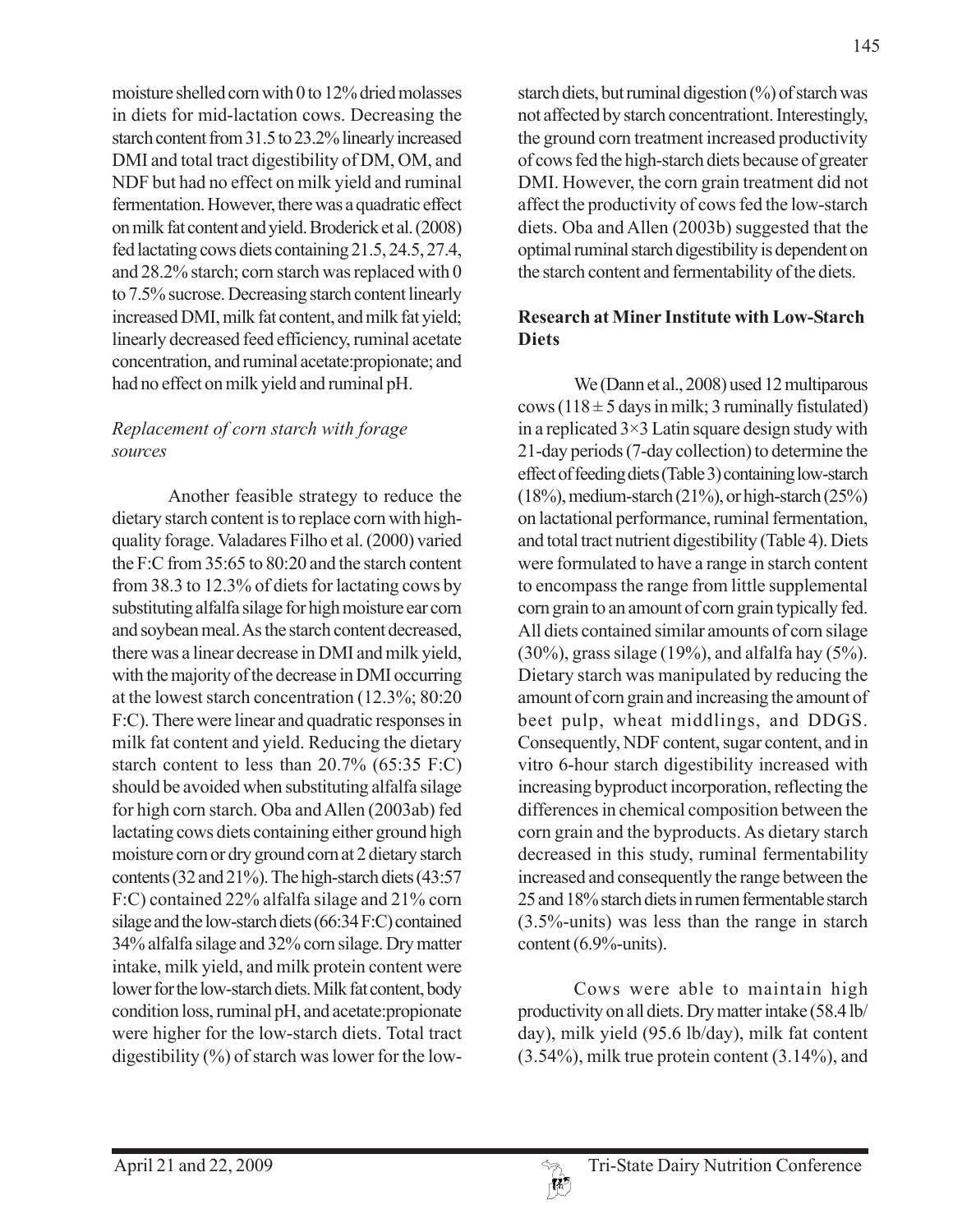moisture shelled corn with 0 to 12% dried molasses in diets for mid-lactation cows. Decreasing the starch content from 31.5 to 23.2% linearly increased DMI and total tract digestibility of DM, OM, and NDF but had no effect on milk yield and ruminal fermentation. However, there was a quadratic effect on milk fat content and yield. Broderick et al. (2008) fed lactating cows diets containing 21.5, 24.5, 27.4, and 28.2% starch; corn starch was replaced with 0 to 7.5% sucrose. Decreasing starch content linearly increased DMI, milk fat content, and milk fat yield; linearly decreased feed efficiency, ruminal acetate concentration, and ruminal acetate:propionate; and had no effect on milk yield and ruminal pH.

## *Replacement of corn starch with forage sources*

Another feasible strategy to reduce the dietary starch content is to replace corn with highquality forage. Valadares Filho et al. (2000) varied the F:C from 35:65 to 80:20 and the starch content from 38.3 to 12.3% of diets for lactating cows by substituting alfalfa silage for high moisture ear corn and soybean meal. As the starch content decreased, there was a linear decrease in DMI and milk yield, with the majority of the decrease in DMI occurring at the lowest starch concentration (12.3%; 80:20 F:C). There were linear and quadratic responses in milk fat content and yield. Reducing the dietary starch content to less than 20.7% (65:35 F:C) should be avoided when substituting alfalfa silage for high corn starch. Oba and Allen (2003ab) fed lactating cows diets containing either ground high moisture corn or dry ground corn at 2 dietary starch contents (32 and 21%). The high-starch diets (43:57 F:C) contained 22% alfalfa silage and 21% corn silage and the low-starch diets (66:34 F:C) contained 34% alfalfa silage and 32% corn silage. Dry matter intake, milk yield, and milk protein content were lower for the low-starch diets. Milk fat content, body condition loss, ruminal pH, and acetate:propionate were higher for the low-starch diets. Total tract digestibility (%) of starch was lower for the lowstarch diets, but ruminal digestion  $(\%)$  of starch was not affected by starch concentrationt. Interestingly, the ground corn treatment increased productivity of cows fed the high-starch diets because of greater DMI. However, the corn grain treatment did not affect the productivity of cows fed the low-starch diets. Oba and Allen (2003b) suggested that the optimal ruminal starch digestibility is dependent on the starch content and fermentability of the diets.

## **Research at Miner Institute with Low-Starch Diets**

We (Dann et al., 2008) used 12 multiparous cows (118  $\pm$  5 days in milk; 3 ruminally fistulated) in a replicated  $3\times3$  Latin square design study with 21-day periods (7-day collection) to determine the effect of feeding diets (Table 3) containing low-starch (18%), medium-starch (21%), or high-starch (25%) on lactational performance, ruminal fermentation, and total tract nutrient digestibility (Table 4). Diets were formulated to have a range in starch content to encompass the range from little supplemental corn grain to an amount of corn grain typically fed. All diets contained similar amounts of corn silage  $(30\%)$ , grass silage  $(19\%)$ , and alfalfa hay  $(5\%)$ . Dietary starch was manipulated by reducing the amount of corn grain and increasing the amount of beet pulp, wheat middlings, and DDGS. Consequently, NDF content, sugar content, and in vitro 6-hour starch digestibility increased with increasing byproduct incorporation, reflecting the differences in chemical composition between the corn grain and the byproducts. As dietary starch decreased in this study, ruminal fermentability increased and consequently the range between the 25 and 18% starch diets in rumen fermentable starch (3.5%-units) was less than the range in starch content (6.9%-units).

Cows were able to maintain high productivity on all diets. Dry matter intake (58.4 lb/ day), milk yield (95.6 lb/day), milk fat content (3.54%), milk true protein content (3.14%), and

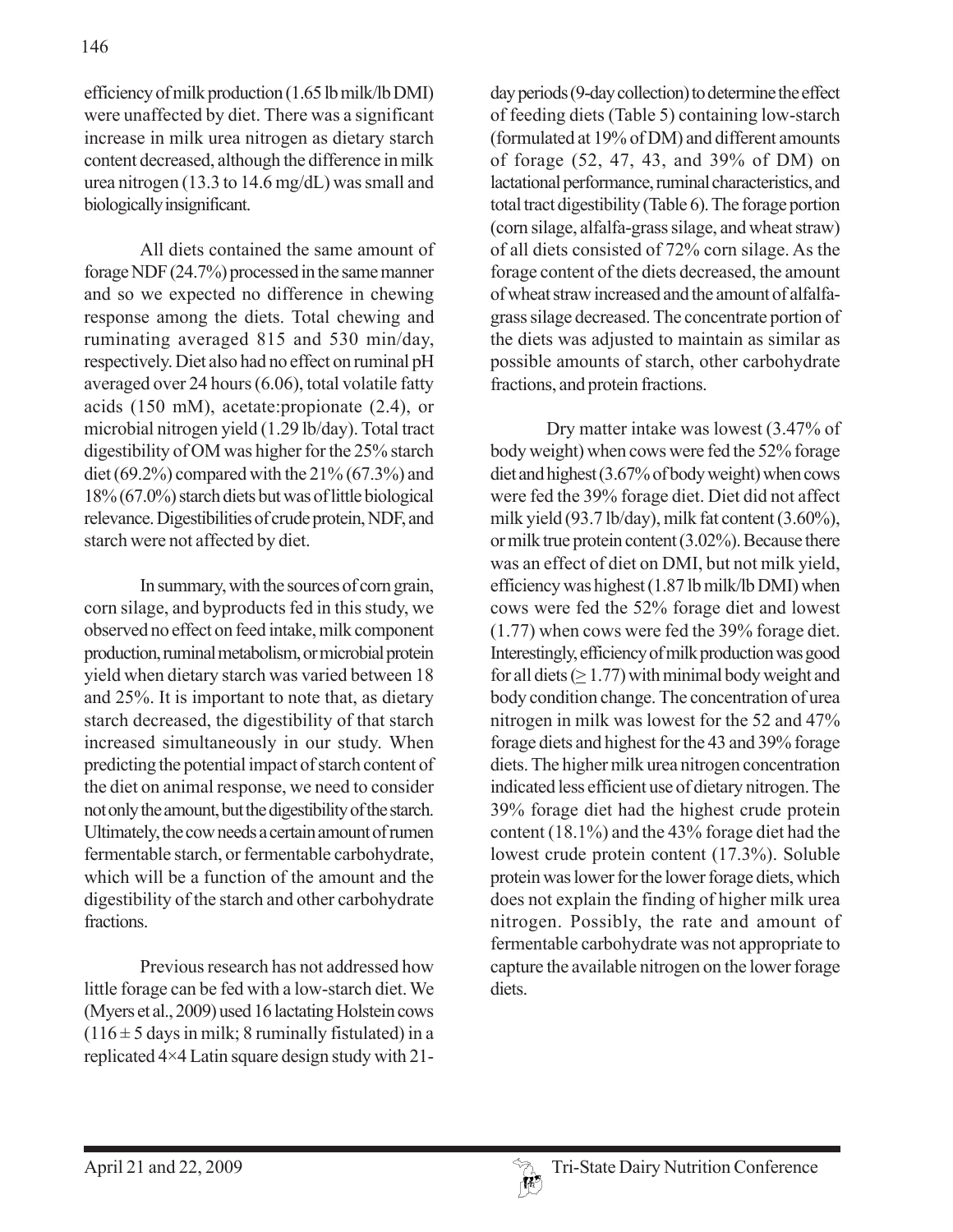efficiency of milk production (1.65 lb milk/lb DMI) were unaffected by diet. There was a significant increase in milk urea nitrogen as dietary starch content decreased, although the difference in milk urea nitrogen (13.3 to 14.6 mg/dL) was small and biologically insignificant.

All diets contained the same amount of forage NDF (24.7%) processed in the same manner and so we expected no difference in chewing response among the diets. Total chewing and ruminating averaged 815 and 530 min/day, respectively. Diet also had no effect on ruminal pH averaged over 24 hours (6.06), total volatile fatty acids (150 mM), acetate:propionate (2.4), or microbial nitrogen yield (1.29 lb/day). Total tract digestibility of OM was higher for the 25% starch diet (69.2%) compared with the 21% (67.3%) and 18% (67.0%) starch diets but was of little biological relevance. Digestibilities of crude protein, NDF, and starch were not affected by diet.

In summary, with the sources of corn grain, corn silage, and byproducts fed in this study, we observed no effect on feed intake, milk component production, ruminal metabolism, or microbial protein yield when dietary starch was varied between 18 and 25%. It is important to note that, as dietary starch decreased, the digestibility of that starch increased simultaneously in our study. When predicting the potential impact of starch content of the diet on animal response, we need to consider not only the amount, but the digestibility of the starch. Ultimately, the cow needs a certain amount of rumen fermentable starch, or fermentable carbohydrate, which will be a function of the amount and the digestibility of the starch and other carbohydrate fractions.

Previous research has not addressed how little forage can be fed with a low-starch diet. We (Myers et al., 2009) used 16 lactating Holstein cows  $(116 \pm 5$  days in milk; 8 ruminally fistulated) in a replicated 4×4 Latin square design study with 21day periods (9-day collection) to determine the effect of feeding diets (Table 5) containing low-starch (formulated at 19% of DM) and different amounts of forage (52, 47, 43, and 39% of DM) on lactational performance, ruminal characteristics, and total tract digestibility (Table 6). The forage portion (corn silage, alfalfa-grass silage, and wheat straw) of all diets consisted of 72% corn silage. As the forage content of the diets decreased, the amount of wheat straw increased and the amount of alfalfagrass silage decreased. The concentrate portion of the diets was adjusted to maintain as similar as possible amounts of starch, other carbohydrate fractions, and protein fractions.

Dry matter intake was lowest (3.47% of body weight) when cows were fed the 52% forage diet and highest (3.67% of body weight) when cows were fed the 39% forage diet. Diet did not affect milk yield (93.7 lb/day), milk fat content (3.60%), or milk true protein content (3.02%). Because there was an effect of diet on DMI, but not milk yield, efficiency was highest (1.87 lb milk/lb DMI) when cows were fed the 52% forage diet and lowest (1.77) when cows were fed the 39% forage diet. Interestingly, efficiency of milk production was good for all diets  $(≥ 1.77)$  with minimal body weight and body condition change. The concentration of urea nitrogen in milk was lowest for the 52 and 47% forage diets and highest for the 43 and 39% forage diets. The higher milk urea nitrogen concentration indicated less efficient use of dietary nitrogen. The 39% forage diet had the highest crude protein content (18.1%) and the 43% forage diet had the lowest crude protein content (17.3%). Soluble protein was lower for the lower forage diets, which does not explain the finding of higher milk urea nitrogen. Possibly, the rate and amount of fermentable carbohydrate was not appropriate to capture the available nitrogen on the lower forage diets.

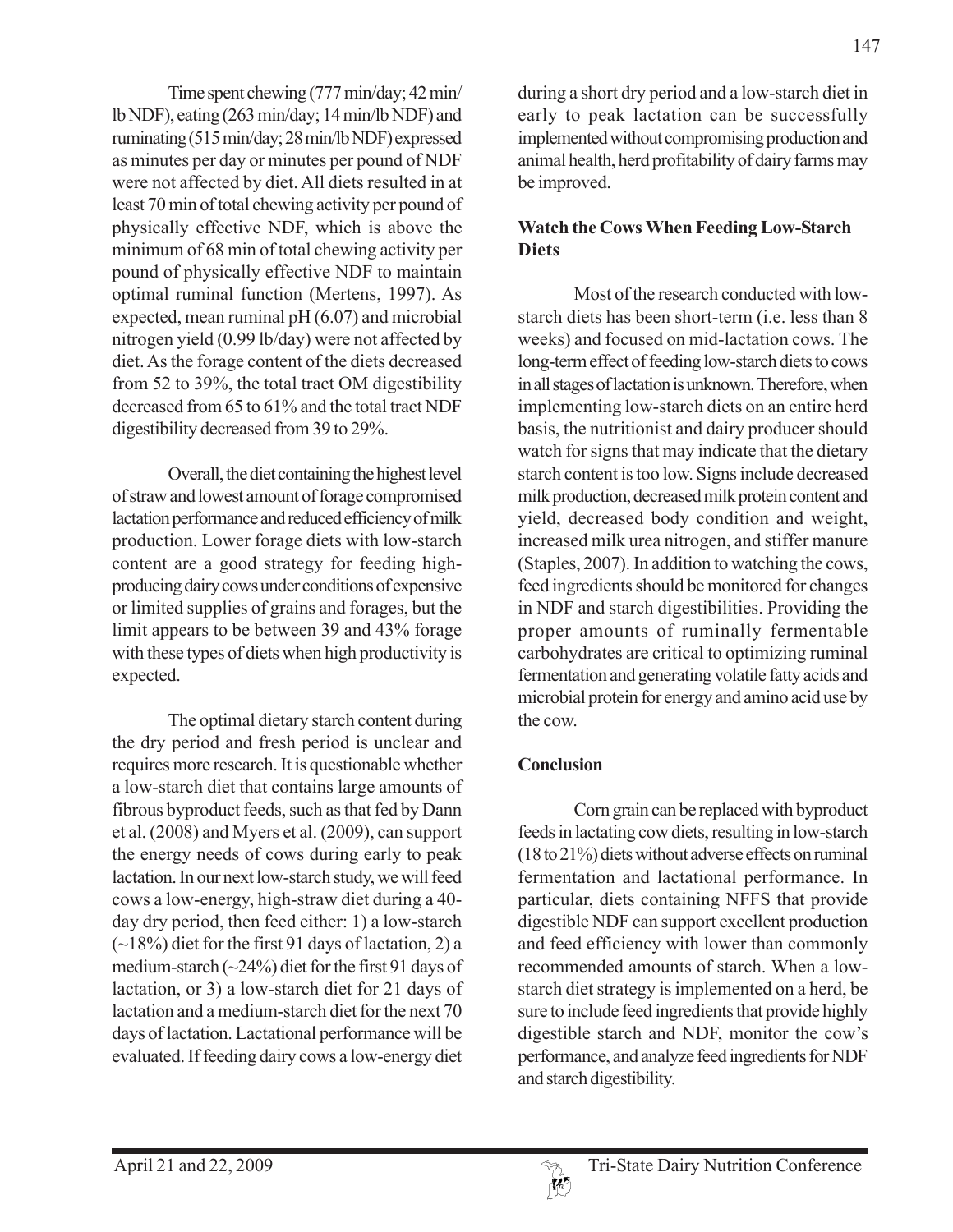Time spent chewing (777 min/day; 42 min/ lb NDF), eating (263 min/day; 14 min/lb NDF) and ruminating (515 min/day; 28 min/lb NDF) expressed as minutes per day or minutes per pound of NDF were not affected by diet. All diets resulted in at least 70 min of total chewing activity per pound of physically effective NDF, which is above the minimum of 68 min of total chewing activity per pound of physically effective NDF to maintain optimal ruminal function (Mertens, 1997). As expected, mean ruminal pH (6.07) and microbial nitrogen yield (0.99 lb/day) were not affected by diet. As the forage content of the diets decreased from 52 to 39%, the total tract OM digestibility decreased from 65 to 61% and the total tract NDF digestibility decreased from 39 to 29%.

Overall, the diet containing the highest level of straw and lowest amount of forage compromised lactation performance and reduced efficiency of milk production. Lower forage diets with low-starch content are a good strategy for feeding highproducing dairy cows under conditions of expensive or limited supplies of grains and forages, but the limit appears to be between 39 and 43% forage with these types of diets when high productivity is expected.

The optimal dietary starch content during the dry period and fresh period is unclear and requires more research. It is questionable whether a low-starch diet that contains large amounts of fibrous byproduct feeds, such as that fed by Dann et al. (2008) and Myers et al. (2009), can support the energy needs of cows during early to peak lactation. In our next low-starch study, we will feed cows a low-energy, high-straw diet during a 40 day dry period, then feed either: 1) a low-starch  $(-18%)$  diet for the first 91 days of lactation, 2) a medium-starch (~24%) diet for the first 91 days of lactation, or 3) a low-starch diet for 21 days of lactation and a medium-starch diet for the next 70 days of lactation. Lactational performance will be evaluated. If feeding dairy cows a low-energy diet

during a short dry period and a low-starch diet in early to peak lactation can be successfully implemented without compromising production and animal health, herd profitability of dairy farms may be improved.

# **Watch the Cows When Feeding Low-Starch Diets**

Most of the research conducted with lowstarch diets has been short-term (i.e. less than 8 weeks) and focused on mid-lactation cows. The long-term effect of feeding low-starch diets to cows in all stages of lactation is unknown. Therefore, when implementing low-starch diets on an entire herd basis, the nutritionist and dairy producer should watch for signs that may indicate that the dietary starch content is too low. Signs include decreased milk production, decreased milk protein content and yield, decreased body condition and weight, increased milk urea nitrogen, and stiffer manure (Staples, 2007). In addition to watching the cows, feed ingredients should be monitored for changes in NDF and starch digestibilities. Providing the proper amounts of ruminally fermentable carbohydrates are critical to optimizing ruminal fermentation and generating volatile fatty acids and microbial protein for energy and amino acid use by the cow.

# **Conclusion**

Corn grain can be replaced with byproduct feeds in lactating cow diets, resulting in low-starch (18 to 21%) diets without adverse effects on ruminal fermentation and lactational performance. In particular, diets containing NFFS that provide digestible NDF can support excellent production and feed efficiency with lower than commonly recommended amounts of starch. When a lowstarch diet strategy is implemented on a herd, be sure to include feed ingredients that provide highly digestible starch and NDF, monitor the cow's performance, and analyze feed ingredients for NDF and starch digestibility.

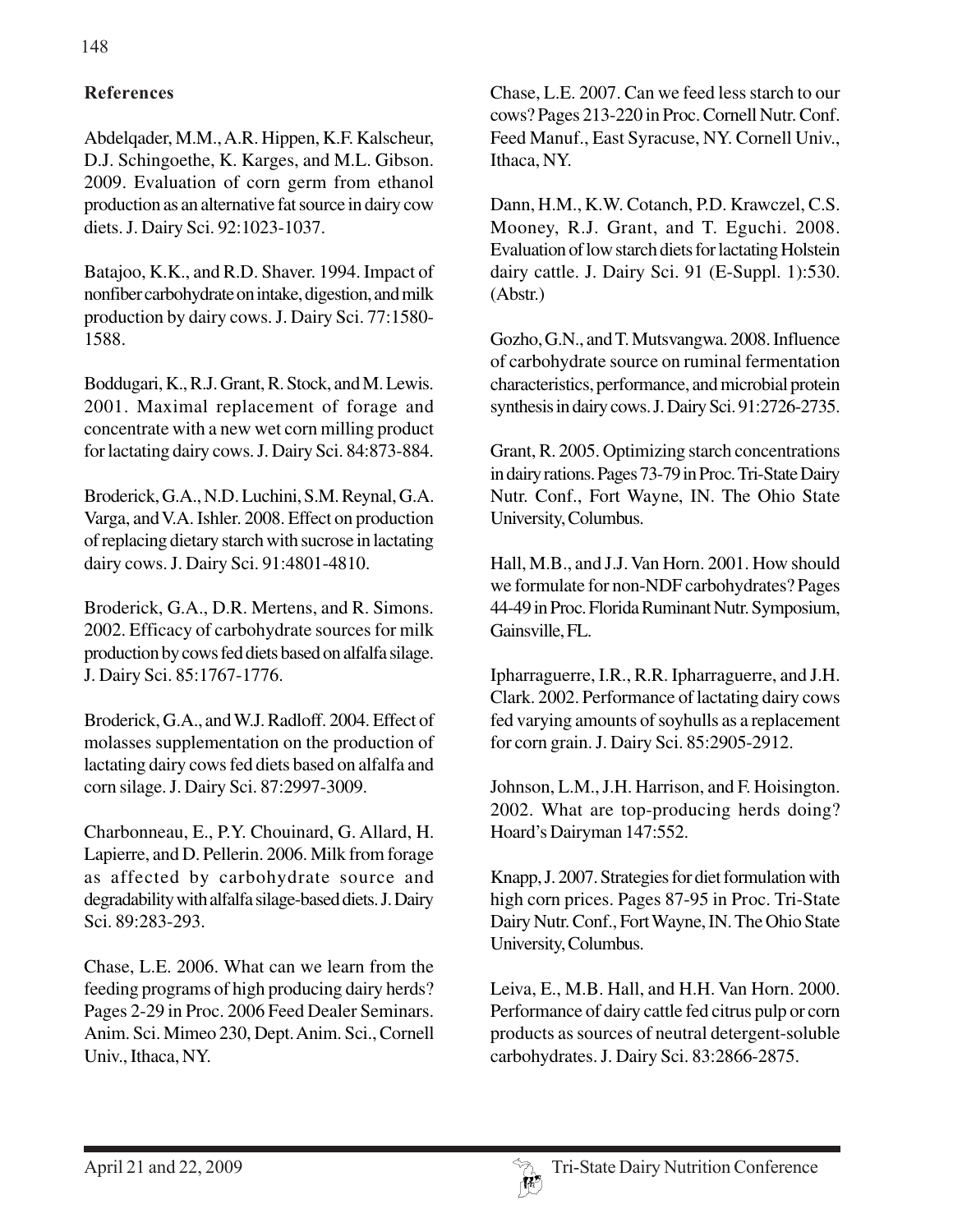# **References**

Abdelqader, M.M., A.R. Hippen, K.F. Kalscheur, D.J. Schingoethe, K. Karges, and M.L. Gibson. 2009. Evaluation of corn germ from ethanol production as an alternative fat source in dairy cow diets. J. Dairy Sci. 92:1023-1037.

Batajoo, K.K., and R.D. Shaver. 1994. Impact of nonfiber carbohydrate on intake, digestion, and milk production by dairy cows. J. Dairy Sci. 77:1580- 1588.

Boddugari, K., R.J. Grant, R. Stock, and M. Lewis. 2001. Maximal replacement of forage and concentrate with a new wet corn milling product for lactating dairy cows. J. Dairy Sci. 84:873-884.

Broderick, G.A., N.D. Luchini, S.M. Reynal, G.A. Varga, and V.A. Ishler. 2008. Effect on production of replacing dietary starch with sucrose in lactating dairy cows. J. Dairy Sci. 91:4801-4810.

Broderick, G.A., D.R. Mertens, and R. Simons. 2002. Efficacy of carbohydrate sources for milk production by cows fed diets based on alfalfa silage. J. Dairy Sci. 85:1767-1776.

Broderick, G.A., and W.J. Radloff. 2004. Effect of molasses supplementation on the production of lactating dairy cows fed diets based on alfalfa and corn silage. J. Dairy Sci. 87:2997-3009.

Charbonneau, E., P.Y. Chouinard, G. Allard, H. Lapierre, and D. Pellerin. 2006. Milk from forage as affected by carbohydrate source and degradability with alfalfa silage-based diets. J. Dairy Sci. 89:283-293.

Chase, L.E. 2006. What can we learn from the feeding programs of high producing dairy herds? Pages 2-29 in Proc. 2006 Feed Dealer Seminars. Anim. Sci. Mimeo 230, Dept. Anim. Sci., Cornell Univ., Ithaca, NY.

Chase, L.E. 2007. Can we feed less starch to our cows? Pages 213-220 in Proc. Cornell Nutr. Conf. Feed Manuf., East Syracuse, NY. Cornell Univ., Ithaca, NY.

Dann, H.M., K.W. Cotanch, P.D. Krawczel, C.S. Mooney, R.J. Grant, and T. Eguchi. 2008. Evaluation of low starch diets for lactating Holstein dairy cattle. J. Dairy Sci. 91 (E-Suppl. 1):530. (Abstr.)

Gozho, G.N., and T. Mutsvangwa. 2008. Influence of carbohydrate source on ruminal fermentation characteristics, performance, and microbial protein synthesis in dairy cows. J. Dairy Sci. 91:2726-2735.

Grant, R. 2005. Optimizing starch concentrations in dairy rations. Pages 73-79 in Proc. Tri-State Dairy Nutr. Conf., Fort Wayne, IN. The Ohio State University, Columbus.

Hall, M.B., and J.J. Van Horn. 2001. How should we formulate for non-NDF carbohydrates? Pages 44-49 in Proc. Florida Ruminant Nutr. Symposium, Gainsville, FL.

Ipharraguerre, I.R., R.R. Ipharraguerre, and J.H. Clark. 2002. Performance of lactating dairy cows fed varying amounts of soyhulls as a replacement for corn grain. J. Dairy Sci. 85:2905-2912.

Johnson, L.M., J.H. Harrison, and F. Hoisington. 2002. What are top-producing herds doing? Hoard's Dairyman 147:552.

Knapp, J. 2007. Strategies for diet formulation with high corn prices. Pages 87-95 in Proc. Tri-State Dairy Nutr. Conf., Fort Wayne, IN. The Ohio State University, Columbus.

Leiva, E., M.B. Hall, and H.H. Van Horn. 2000. Performance of dairy cattle fed citrus pulp or corn products as sources of neutral detergent-soluble carbohydrates. J. Dairy Sci. 83:2866-2875.

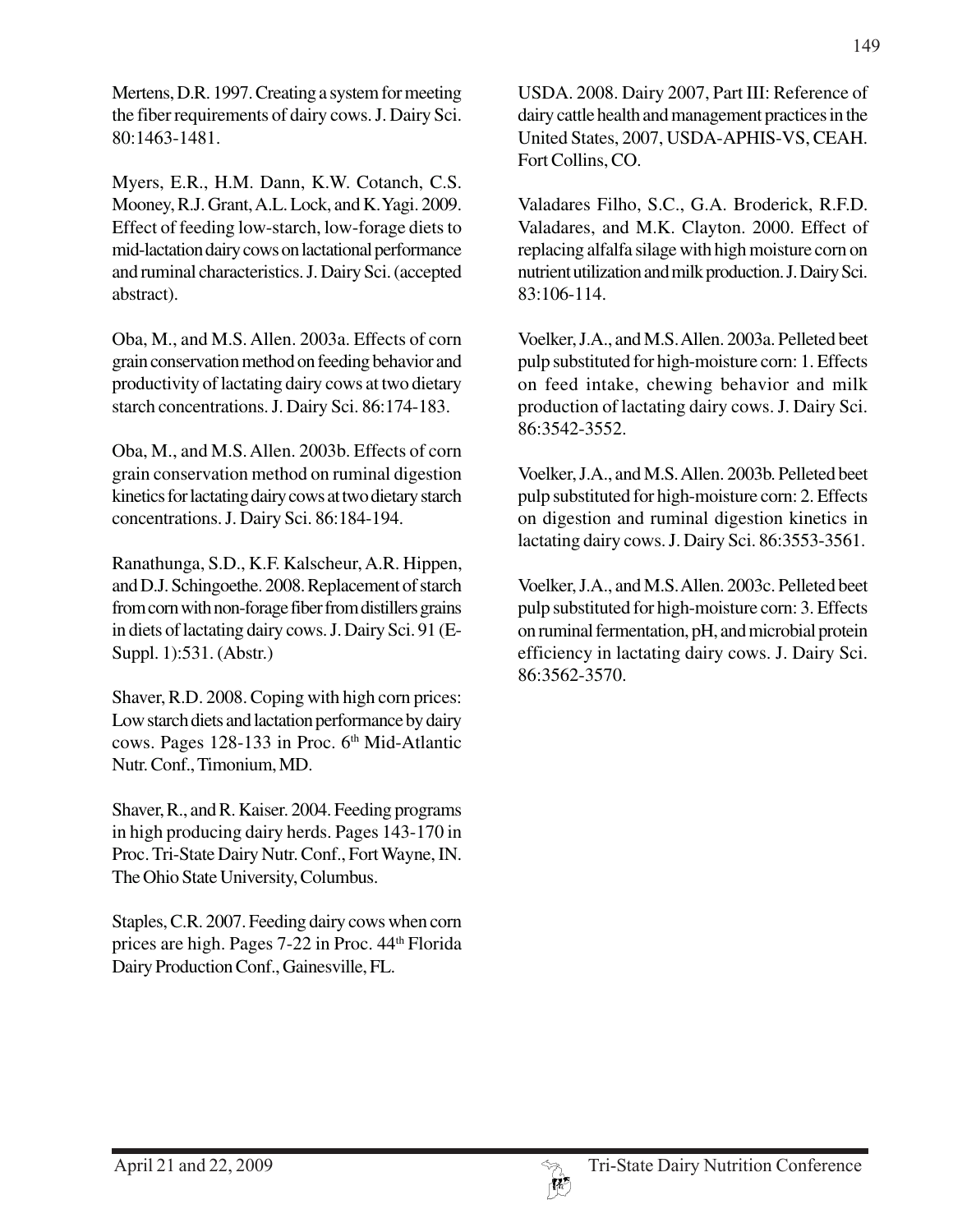Mertens, D.R. 1997. Creating a system for meeting the fiber requirements of dairy cows. J. Dairy Sci. 80:1463-1481.

Myers, E.R., H.M. Dann, K.W. Cotanch, C.S. Mooney, R.J. Grant, A.L. Lock, and K. Yagi. 2009. Effect of feeding low-starch, low-forage diets to mid-lactation dairy cows on lactational performance and ruminal characteristics. J. Dairy Sci. (accepted abstract).

Oba, M., and M.S. Allen. 2003a. Effects of corn grain conservation method on feeding behavior and productivity of lactating dairy cows at two dietary starch concentrations. J. Dairy Sci. 86:174-183.

Oba, M., and M.S. Allen. 2003b. Effects of corn grain conservation method on ruminal digestion kinetics for lactating dairy cows at two dietary starch concentrations. J. Dairy Sci. 86:184-194.

Ranathunga, S.D., K.F. Kalscheur, A.R. Hippen, and D.J. Schingoethe. 2008. Replacement of starch from corn with non-forage fiber from distillers grains in diets of lactating dairy cows. J. Dairy Sci. 91 (E-Suppl. 1):531. (Abstr.)

Shaver, R.D. 2008. Coping with high corn prices: Low starch diets and lactation performance by dairy cows. Pages 128-133 in Proc. 6<sup>th</sup> Mid-Atlantic Nutr. Conf., Timonium, MD.

Shaver, R., and R. Kaiser. 2004. Feeding programs in high producing dairy herds. Pages 143-170 in Proc. Tri-State Dairy Nutr. Conf., Fort Wayne, IN. The Ohio State University, Columbus.

Staples, C.R. 2007. Feeding dairy cows when corn prices are high. Pages 7-22 in Proc. 44th Florida Dairy Production Conf., Gainesville, FL.

USDA. 2008. Dairy 2007, Part III: Reference of dairy cattle health and management practices in the United States, 2007, USDA-APHIS-VS, CEAH. Fort Collins, CO.

Valadares Filho, S.C., G.A. Broderick, R.F.D. Valadares, and M.K. Clayton. 2000. Effect of replacing alfalfa silage with high moisture corn on nutrient utilization and milk production. J. Dairy Sci. 83:106-114.

Voelker, J.A., and M.S. Allen. 2003a. Pelleted beet pulp substituted for high-moisture corn: 1. Effects on feed intake, chewing behavior and milk production of lactating dairy cows. J. Dairy Sci. 86:3542-3552.

Voelker, J.A., and M.S. Allen. 2003b. Pelleted beet pulp substituted for high-moisture corn: 2. Effects on digestion and ruminal digestion kinetics in lactating dairy cows. J. Dairy Sci. 86:3553-3561.

Voelker, J.A., and M.S. Allen. 2003c. Pelleted beet pulp substituted for high-moisture corn: 3. Effects on ruminal fermentation, pH, and microbial protein efficiency in lactating dairy cows. J. Dairy Sci. 86:3562-3570.

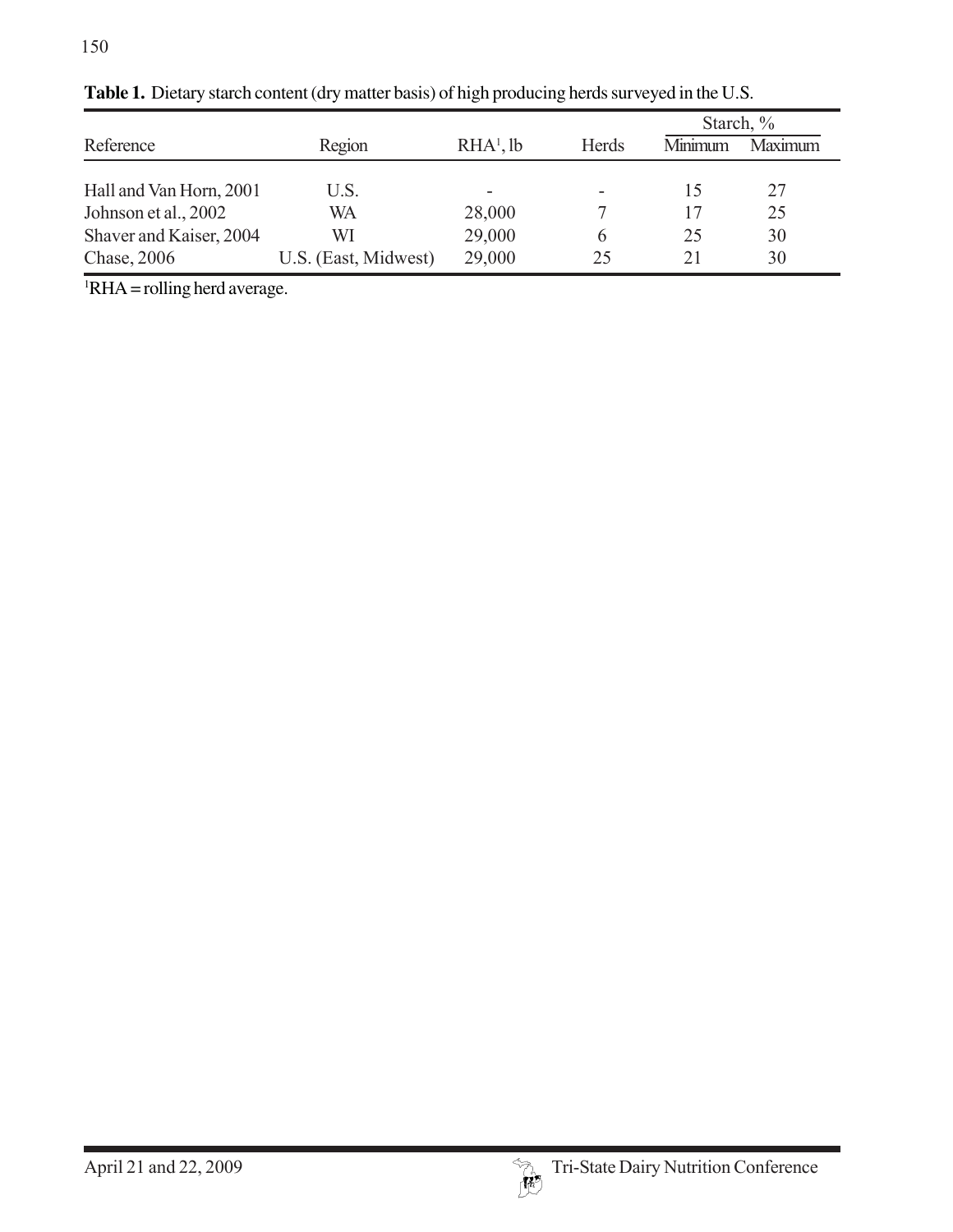|                         |                      |             |              | Starch, $\%$ |                |
|-------------------------|----------------------|-------------|--------------|--------------|----------------|
| Reference               | Region               | $RHA1$ , lb | <b>Herds</b> | Minimum      | <b>Maximum</b> |
|                         |                      |             |              |              |                |
| Hall and Van Horn, 2001 | U.S.                 |             |              | 15           | 27             |
| Johnson et al., 2002    | WA                   | 28,000      |              | 17           | 25             |
| Shaver and Kaiser, 2004 | WI                   | 29,000      | h            | 25           | 30             |
| Chase, 2006             | U.S. (East, Midwest) | 29,000      | 25           | 21           | 30             |

**Table 1.** Dietary starch content (dry matter basis) of high producing herds surveyed in the U.S.

 ${}^{1}$ RHA = rolling herd average.

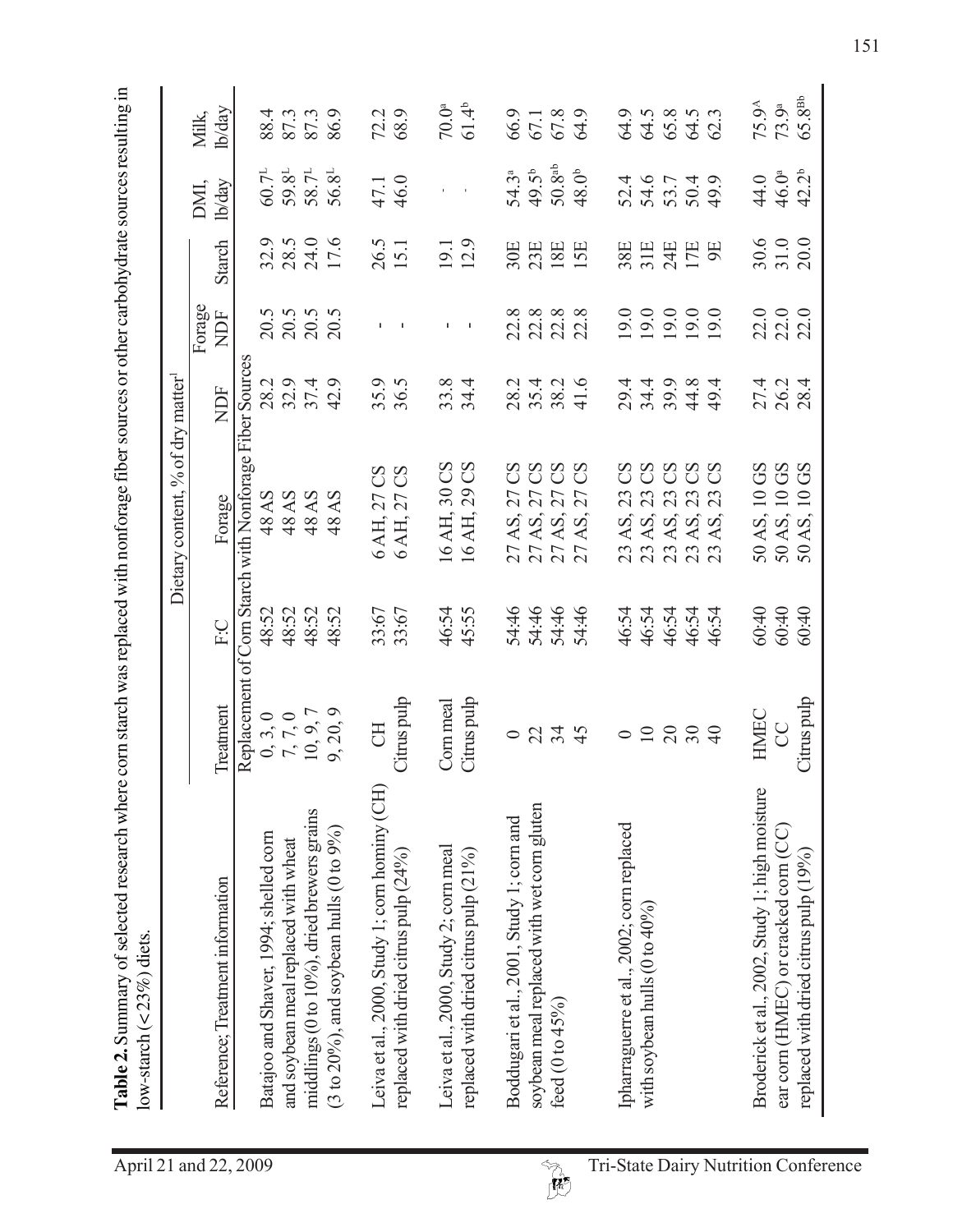**Table 2.** Summary of selected research where corn starch was replaced with nonforage fiber sources or other carbohydrate sources resulting in

|                                                |                                                                           |       | Dietary content, % of dry matter                        |                          |                            |                      |                                                                                    |                            |
|------------------------------------------------|---------------------------------------------------------------------------|-------|---------------------------------------------------------|--------------------------|----------------------------|----------------------|------------------------------------------------------------------------------------|----------------------------|
| Reference; Treatment information               | Treatment                                                                 | EC    | Forage                                                  | NDF                      | Forage<br>NDF              | Starch               | lb/day<br>DMI,                                                                     | lb/day<br>Milk,            |
|                                                |                                                                           |       | Replacement of Corn Starch with Nonforage Fiber Sources |                          |                            |                      |                                                                                    |                            |
| Batajoo and Shaver, 1994; shelled corn         |                                                                           | 48:52 | 48 AS                                                   | 28.2                     | 20.5                       |                      | 60.7 <sup>1</sup>                                                                  |                            |
| and soybean meal replaced with wheat           |                                                                           | 48:52 | 48 AS                                                   | 32.9                     |                            |                      |                                                                                    |                            |
| middlings (0 to 10%), dried brewers grains     |                                                                           | 48:52 | 48 AS                                                   | 37.4                     | 20.5<br>20.5<br>20.5       | 32.9<br>28.5<br>24.0 | $\begin{array}{l} 59.8^{\text{L}}\\ 58.7^{\text{L}}\\ 56.8^{\text{L}} \end{array}$ | 88 87 3<br>87 3<br>86 3    |
| (3 to 20%), and soybean hulls (0 to 9%)        | $\begin{array}{c} 0, 3, 0 \\ 7, 7, 0 \\ 10, 9, 7 \\ 9, 20, 9 \end{array}$ | 48:52 | AS<br>$\frac{8}{3}$                                     | 42.9                     |                            | 17.6                 |                                                                                    |                            |
| Leiva et al., 2000, Study 1; corn hominy (CH)  | <b>FO</b>                                                                 | 33:67 | $\rm{CS}$                                               | 35.9                     |                            |                      | 47.1                                                                               | 72.2                       |
| replaced with dried citrus pulp (24%)          | Citrus pulp                                                               | 33:67 | $\mathbf{S}$<br>27<br>6 AH, 27<br>6 AH, 27              | 36.5                     |                            | 26.5<br>15.1         | 46.0                                                                               | 68.9                       |
| Leiva et al., 2000, Study 2; com meal          | Com meal                                                                  | 46:54 | 16 AH, 30 CS                                            | 33.8                     | τ.                         | 19.1                 |                                                                                    | 70.0 <sup>a</sup>          |
| replaced with dried citrus pulp (21%)          | Citrus pulp                                                               | 45:55 | CS<br>29<br>16 AH,                                      | 34.4                     | $\overline{\phantom{a}}$   | 12.9                 |                                                                                    | $61.4^{b}$                 |
| Boddugari et al., 2001, Study 1; corn and      | $\circ$                                                                   | 54:46 | $\rm{CS}$<br>$\overline{27}$<br>AS,                     | $\mathcal{L}_{1}$<br>28. | $\infty$<br>22             | 30E                  | $54.3^a$                                                                           | 66.9                       |
| soybean meal replaced with wet corn gluten     |                                                                           | 54:46 | $\rm{CS}$<br>27                                         | 35.4                     |                            | 23E                  | 49.5 <sup>b</sup>                                                                  | 67.1                       |
| feed $(0 \text{ to } 45\%)$                    | 2349                                                                      | 54:46 | $\mathbb{S}$<br>27<br>AS,<br>AS,<br>27<br>27<br>27      | 38.2                     | $22.8$<br>$22.8$<br>$22.8$ | $\frac{18}{15}$      | $50.8^{\rm ab}$                                                                    | 67.8                       |
|                                                |                                                                           | 54:46 | CS<br>27                                                | 41.6                     |                            |                      | $48.0b$                                                                            | 64.9                       |
| Ipharraguerre et al., 2002; corn replaced      | $\circ$                                                                   | 46:54 | SS<br>23                                                | 29.4                     | 19.0                       | 38E                  |                                                                                    | 64.9                       |
| with soybean hulls $(0 \text{ to } 40\%$       |                                                                           | 46:54 | $\mathbf{S}$<br>23                                      | 34.4                     | 19.0                       | 31E                  |                                                                                    |                            |
|                                                |                                                                           | 46:54 | $\mathrm{CS}$<br>23                                     | 39.9                     |                            | 24E                  | 52.4<br>54.6<br>53.7                                                               |                            |
|                                                | 288                                                                       | 46:54 | $\rm{CS}$<br>23<br>489898<br>33333                      | 44.8                     | 19.0<br>19.0               | 17巴                  | 50.4                                                                               | $64.5$<br>$65.8$<br>$61.3$ |
|                                                | $\Theta$                                                                  | 46:54 | CS<br>23                                                | 49.4                     | 19.0                       |                      | 49.9                                                                               |                            |
| Broderick et al., 2002, Study 1; high moisture | HMEC                                                                      | 60:40 |                                                         |                          |                            |                      | 44.0                                                                               | 75.9 <sup>A</sup>          |
| ear corn (HMEC) or cracked corn (CC)           | C                                                                         | 60:40 | 50 AS, 10 GS<br>50 AS, 10 GS                            | 27.4<br>26.2             | 22.0<br>22.0               | 30.6<br>31.0         | 46.0 <sup>a</sup>                                                                  | 73.9 <sup>a</sup>          |
| replaced with dried citrus pulp (19%)          | Citrus pulp                                                               | 60:40 | GS<br>$\overline{10}$<br>AS,<br>50                      | 28.4                     | 22.0                       | 20.0                 | $42.2^b$                                                                           | $65.8^\text{Bb}$           |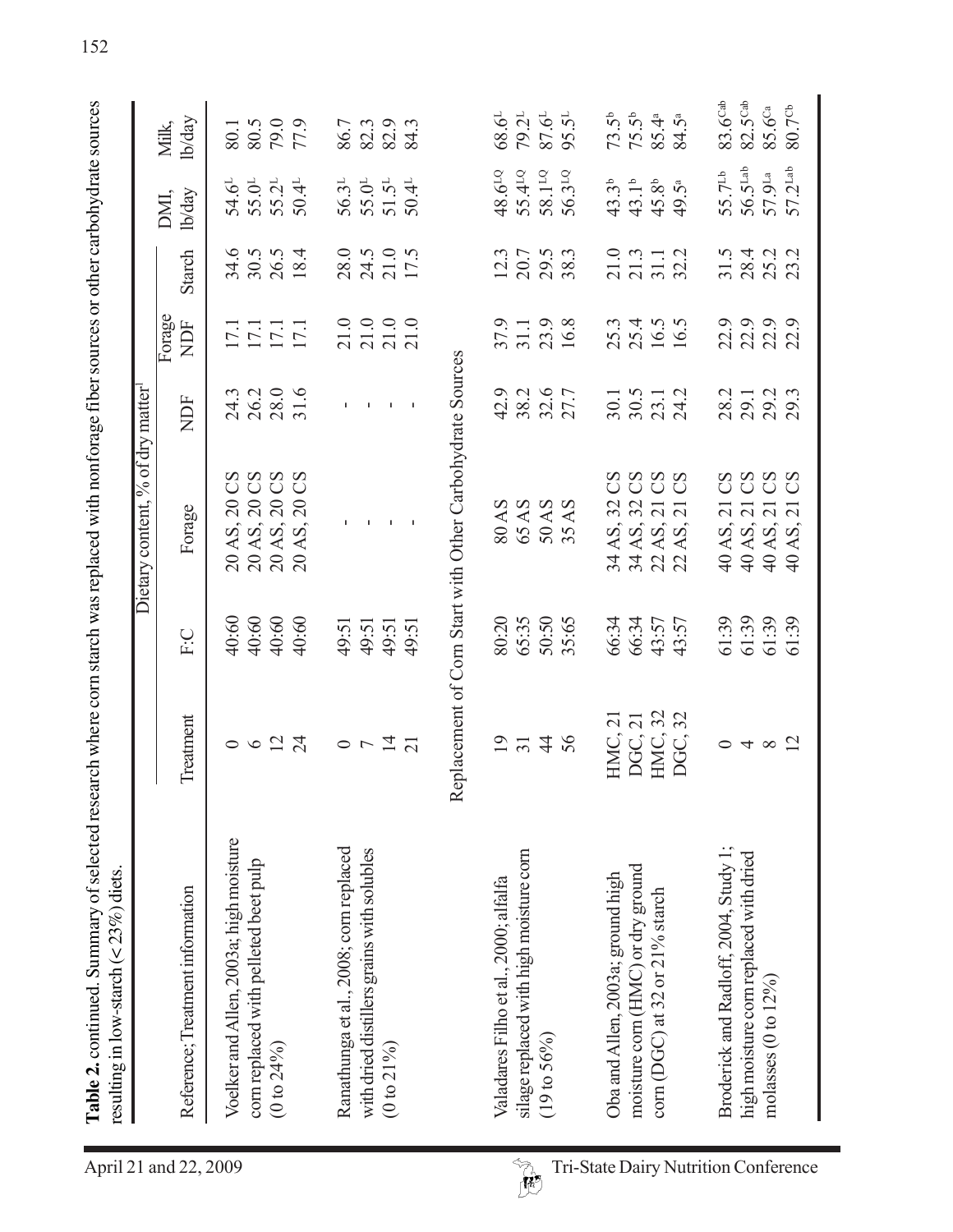| 40:60<br>35:65<br>40:60<br>40:60<br>40:60<br>80:20<br>65:35<br>50:50<br>66:34<br>66:34<br>43:57<br>49:51<br>49:51<br>49:51<br>49:51<br>F:C | HMC, 32<br>32<br>Treatment<br>HMC, 21<br>DGC, 21<br>DGC,<br>$0 \vee \overline{4}$<br>274<br>56<br>$\circ$ $\circ$ $\stackrel{\sim}{2}$ $\stackrel{\sim}{2}$<br>$\overline{21}$ | Voelker and Allen, 2003a; high moisture<br>Ranathunga et al., 2008; corn replaced<br>with dried distillers grains with solubles<br>silage replaced with high moisture corn<br>com replaced with pelleted beet pulp<br>moisture corn (HMC) or dry ground<br>Oba and Allen, 2003a; ground high<br>Valadares Filho et al., 2000; alfalfa<br>Reference; Treatment information<br>com (DGC) at 32 or 21% starch<br>(19 to 56%)<br>$(0 to 21\%)$<br>$(0 to 24\%)$ |
|--------------------------------------------------------------------------------------------------------------------------------------------|--------------------------------------------------------------------------------------------------------------------------------------------------------------------------------|-------------------------------------------------------------------------------------------------------------------------------------------------------------------------------------------------------------------------------------------------------------------------------------------------------------------------------------------------------------------------------------------------------------------------------------------------------------|
| 40 AS,<br>$40$ AS, $2$<br>$40$ AS, $2$<br>$40$ AS, $2$<br>61:39                                                                            | $\circ$ + $\infty$ $\approx$                                                                                                                                                   | Broderick and Radloff, 2004, Study 1;                                                                                                                                                                                                                                                                                                                                                                                                                       |
|                                                                                                                                            |                                                                                                                                                                                |                                                                                                                                                                                                                                                                                                                                                                                                                                                             |
|                                                                                                                                            |                                                                                                                                                                                |                                                                                                                                                                                                                                                                                                                                                                                                                                                             |
|                                                                                                                                            |                                                                                                                                                                                |                                                                                                                                                                                                                                                                                                                                                                                                                                                             |
|                                                                                                                                            |                                                                                                                                                                                |                                                                                                                                                                                                                                                                                                                                                                                                                                                             |
|                                                                                                                                            |                                                                                                                                                                                |                                                                                                                                                                                                                                                                                                                                                                                                                                                             |
|                                                                                                                                            |                                                                                                                                                                                |                                                                                                                                                                                                                                                                                                                                                                                                                                                             |
|                                                                                                                                            |                                                                                                                                                                                |                                                                                                                                                                                                                                                                                                                                                                                                                                                             |
|                                                                                                                                            |                                                                                                                                                                                |                                                                                                                                                                                                                                                                                                                                                                                                                                                             |
|                                                                                                                                            |                                                                                                                                                                                |                                                                                                                                                                                                                                                                                                                                                                                                                                                             |
|                                                                                                                                            |                                                                                                                                                                                |                                                                                                                                                                                                                                                                                                                                                                                                                                                             |
|                                                                                                                                            |                                                                                                                                                                                |                                                                                                                                                                                                                                                                                                                                                                                                                                                             |
|                                                                                                                                            |                                                                                                                                                                                |                                                                                                                                                                                                                                                                                                                                                                                                                                                             |
|                                                                                                                                            |                                                                                                                                                                                |                                                                                                                                                                                                                                                                                                                                                                                                                                                             |
|                                                                                                                                            |                                                                                                                                                                                |                                                                                                                                                                                                                                                                                                                                                                                                                                                             |
|                                                                                                                                            |                                                                                                                                                                                |                                                                                                                                                                                                                                                                                                                                                                                                                                                             |
|                                                                                                                                            |                                                                                                                                                                                |                                                                                                                                                                                                                                                                                                                                                                                                                                                             |
|                                                                                                                                            |                                                                                                                                                                                |                                                                                                                                                                                                                                                                                                                                                                                                                                                             |
|                                                                                                                                            |                                                                                                                                                                                |                                                                                                                                                                                                                                                                                                                                                                                                                                                             |
|                                                                                                                                            |                                                                                                                                                                                |                                                                                                                                                                                                                                                                                                                                                                                                                                                             |
|                                                                                                                                            |                                                                                                                                                                                |                                                                                                                                                                                                                                                                                                                                                                                                                                                             |
| Forage                                                                                                                                     | 20 AS, 20 0<br>20 AS, 20 0<br>20 AS, 20 0<br>20 AS, 20 0<br>43:57                                                                                                              | Replacement of Corn Start with Other Carbohydrate Sources<br>Dietary content, % of dry matter                                                                                                                                                                                                                                                                                                                                                               |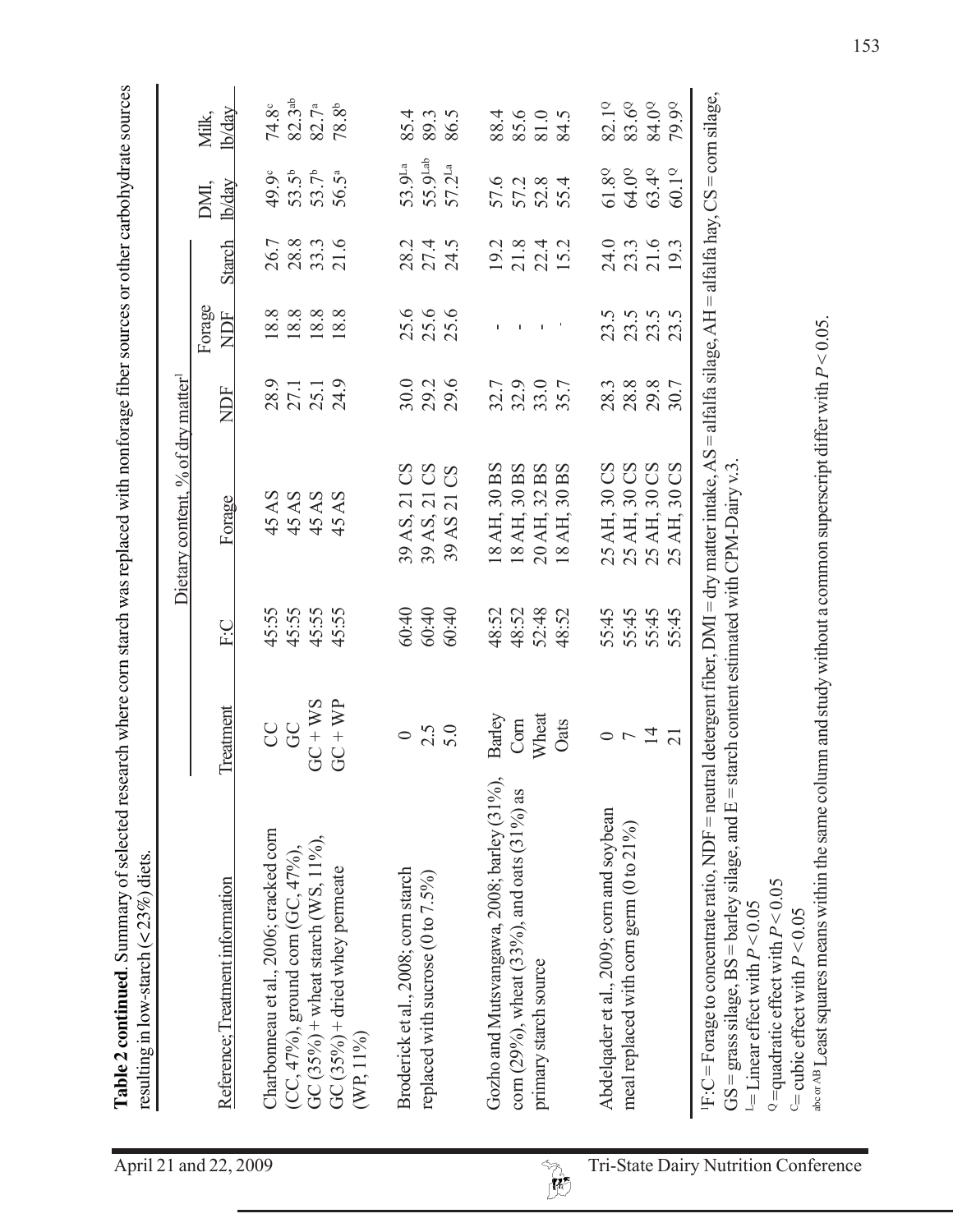| ייסט בארי היה בית ואת המוני בעולם בשנים השלוש בשלום בשלום המונים בית המונים ב<br>earch whare corn etarch was raniacad with nontorana tinar equipped or othar carbohydrate equicas |
|-----------------------------------------------------------------------------------------------------------------------------------------------------------------------------------|
|                                                                                                                                                                                   |

| 82.3 <sup>ab</sup><br>79.90<br>83.6°<br>84.0 <sup>o</sup><br>82.19<br>82.7 <sup>a</sup><br>$\mathbf{8}^{\circ}$<br>74.8°<br><b>h/day</b><br>Milk,<br>88.4<br>85.6<br>81.0<br>$\ddot{\Omega}$<br>85.4<br>86.5<br>89.3<br>78.<br>84.<br>55.9Lab<br>$53.9^{\rm La}$<br>$57.2^{\text{La}}$<br>$61.8^\mathrm{Q}$<br>64.0°<br>63.40<br>$60.1^\circ$<br>$\overline{5}^{\overline{b}}$<br>$53.7^b$<br>49.9°<br>56.5ª<br>57.6<br>52.8<br>57.2<br>4<br><u>lb/day</u><br>DMI,<br>53.<br>55.<br>28.8<br>33.3<br>21.6<br>21.6<br><b>Starch</b><br>28.2<br>27.4<br>$\omega$<br>24.0<br>26.7<br>21.8<br>22.4<br>15.2<br>19.2<br>23.3<br>24.<br>Forage<br>18.8<br>$\frac{888}{188}$<br>25.6<br>25.6<br>NDF<br>23.5<br>23.5<br>$\ddot{\omega}$ $\ddot{\omega}$<br>$\mathbf{L}$<br>23<br>23.<br>×.<br>т.<br>24.9<br>29.6<br>28.9<br>30.0<br>29.2<br>32.9<br>33.7<br>$28.8$<br>$29.8$<br>27.1<br>32.7<br>28.3<br>30.7<br>NDF<br>BS<br>30 BS<br>SO<br>30 BS<br>SO<br>$\rm{CS}$<br>$\rm{CS}$<br>30 BS<br>CS<br>SS<br>CS<br>30 <sub>1</sub><br>30 <sub>1</sub><br>30 <sub>1</sub><br>32<br>30 <sub>o</sub><br>45 AS<br>45 AS<br>45 AS<br>45 AS<br>$\overline{21}$<br>$\overline{21}$<br>Forage<br>$\overline{\Omega}$<br>18 AH,<br>AH,<br>$20$ AH,<br>AH,<br>AH,<br>25 AH,<br>AH,<br>39 AS,<br>39 AS,<br>AH,<br>AS<br>39<br>18<br>18<br>25<br>25<br>25<br>45:55<br>45:55<br>45:55<br>45:55<br>60:40<br>52:48<br>48:52<br>55:45<br>60:40<br>48:52<br>48:52<br>55:45<br>55:45<br>5.45<br>60:40<br>い<br>上<br>$\Omega$<br>$GC + WS$<br>$GC + WP$<br>Treatment<br>Wheat<br>Barley<br>Com<br>Oats<br><b>CCC</b><br>2.5<br>$\overline{r}$ $\overline{4}$<br>$\circ$<br>Gozho and Mutsvangawa, 2008; barley (31%),<br>corn (29%), wheat (33%), and oats (31%) as<br>Abdelqader et al., 2009; corn and soybean<br>meal replaced with corn germ (0 to 21%)<br>Charbonneau et al., 2006; cracked corn<br>GC $(35\%)$ + wheat starch (WS, 11%),<br>(CC, 47%), ground corn (GC, 47%),<br>GC (35%) + dried whey permeate<br>Broderick et al., 2008; corn starch<br>replaced with sucrose (0 to 7.5%)<br>Reference; Treatment information<br>primary starch source<br>$(WP, 11\%)$ |  |  | Dietary content, | % of dry matter $^{\rm l}$ |  |  |
|-----------------------------------------------------------------------------------------------------------------------------------------------------------------------------------------------------------------------------------------------------------------------------------------------------------------------------------------------------------------------------------------------------------------------------------------------------------------------------------------------------------------------------------------------------------------------------------------------------------------------------------------------------------------------------------------------------------------------------------------------------------------------------------------------------------------------------------------------------------------------------------------------------------------------------------------------------------------------------------------------------------------------------------------------------------------------------------------------------------------------------------------------------------------------------------------------------------------------------------------------------------------------------------------------------------------------------------------------------------------------------------------------------------------------------------------------------------------------------------------------------------------------------------------------------------------------------------------------------------------------------------------------------------------------------------------------------------------------------------------------------------------------------------------------------------------------------------------------------------------------------------------------------------------------------------------------------------------------------------------------------------------------------------------------------------------------------------------------------------------------------------------------|--|--|------------------|----------------------------|--|--|
|                                                                                                                                                                                                                                                                                                                                                                                                                                                                                                                                                                                                                                                                                                                                                                                                                                                                                                                                                                                                                                                                                                                                                                                                                                                                                                                                                                                                                                                                                                                                                                                                                                                                                                                                                                                                                                                                                                                                                                                                                                                                                                                                               |  |  |                  |                            |  |  |
|                                                                                                                                                                                                                                                                                                                                                                                                                                                                                                                                                                                                                                                                                                                                                                                                                                                                                                                                                                                                                                                                                                                                                                                                                                                                                                                                                                                                                                                                                                                                                                                                                                                                                                                                                                                                                                                                                                                                                                                                                                                                                                                                               |  |  |                  |                            |  |  |
|                                                                                                                                                                                                                                                                                                                                                                                                                                                                                                                                                                                                                                                                                                                                                                                                                                                                                                                                                                                                                                                                                                                                                                                                                                                                                                                                                                                                                                                                                                                                                                                                                                                                                                                                                                                                                                                                                                                                                                                                                                                                                                                                               |  |  |                  |                            |  |  |
|                                                                                                                                                                                                                                                                                                                                                                                                                                                                                                                                                                                                                                                                                                                                                                                                                                                                                                                                                                                                                                                                                                                                                                                                                                                                                                                                                                                                                                                                                                                                                                                                                                                                                                                                                                                                                                                                                                                                                                                                                                                                                                                                               |  |  |                  |                            |  |  |
|                                                                                                                                                                                                                                                                                                                                                                                                                                                                                                                                                                                                                                                                                                                                                                                                                                                                                                                                                                                                                                                                                                                                                                                                                                                                                                                                                                                                                                                                                                                                                                                                                                                                                                                                                                                                                                                                                                                                                                                                                                                                                                                                               |  |  |                  |                            |  |  |
|                                                                                                                                                                                                                                                                                                                                                                                                                                                                                                                                                                                                                                                                                                                                                                                                                                                                                                                                                                                                                                                                                                                                                                                                                                                                                                                                                                                                                                                                                                                                                                                                                                                                                                                                                                                                                                                                                                                                                                                                                                                                                                                                               |  |  |                  |                            |  |  |
|                                                                                                                                                                                                                                                                                                                                                                                                                                                                                                                                                                                                                                                                                                                                                                                                                                                                                                                                                                                                                                                                                                                                                                                                                                                                                                                                                                                                                                                                                                                                                                                                                                                                                                                                                                                                                                                                                                                                                                                                                                                                                                                                               |  |  |                  |                            |  |  |
|                                                                                                                                                                                                                                                                                                                                                                                                                                                                                                                                                                                                                                                                                                                                                                                                                                                                                                                                                                                                                                                                                                                                                                                                                                                                                                                                                                                                                                                                                                                                                                                                                                                                                                                                                                                                                                                                                                                                                                                                                                                                                                                                               |  |  |                  |                            |  |  |
|                                                                                                                                                                                                                                                                                                                                                                                                                                                                                                                                                                                                                                                                                                                                                                                                                                                                                                                                                                                                                                                                                                                                                                                                                                                                                                                                                                                                                                                                                                                                                                                                                                                                                                                                                                                                                                                                                                                                                                                                                                                                                                                                               |  |  |                  |                            |  |  |
|                                                                                                                                                                                                                                                                                                                                                                                                                                                                                                                                                                                                                                                                                                                                                                                                                                                                                                                                                                                                                                                                                                                                                                                                                                                                                                                                                                                                                                                                                                                                                                                                                                                                                                                                                                                                                                                                                                                                                                                                                                                                                                                                               |  |  |                  |                            |  |  |
|                                                                                                                                                                                                                                                                                                                                                                                                                                                                                                                                                                                                                                                                                                                                                                                                                                                                                                                                                                                                                                                                                                                                                                                                                                                                                                                                                                                                                                                                                                                                                                                                                                                                                                                                                                                                                                                                                                                                                                                                                                                                                                                                               |  |  |                  |                            |  |  |
|                                                                                                                                                                                                                                                                                                                                                                                                                                                                                                                                                                                                                                                                                                                                                                                                                                                                                                                                                                                                                                                                                                                                                                                                                                                                                                                                                                                                                                                                                                                                                                                                                                                                                                                                                                                                                                                                                                                                                                                                                                                                                                                                               |  |  |                  |                            |  |  |
|                                                                                                                                                                                                                                                                                                                                                                                                                                                                                                                                                                                                                                                                                                                                                                                                                                                                                                                                                                                                                                                                                                                                                                                                                                                                                                                                                                                                                                                                                                                                                                                                                                                                                                                                                                                                                                                                                                                                                                                                                                                                                                                                               |  |  |                  |                            |  |  |
|                                                                                                                                                                                                                                                                                                                                                                                                                                                                                                                                                                                                                                                                                                                                                                                                                                                                                                                                                                                                                                                                                                                                                                                                                                                                                                                                                                                                                                                                                                                                                                                                                                                                                                                                                                                                                                                                                                                                                                                                                                                                                                                                               |  |  |                  |                            |  |  |
|                                                                                                                                                                                                                                                                                                                                                                                                                                                                                                                                                                                                                                                                                                                                                                                                                                                                                                                                                                                                                                                                                                                                                                                                                                                                                                                                                                                                                                                                                                                                                                                                                                                                                                                                                                                                                                                                                                                                                                                                                                                                                                                                               |  |  |                  |                            |  |  |
|                                                                                                                                                                                                                                                                                                                                                                                                                                                                                                                                                                                                                                                                                                                                                                                                                                                                                                                                                                                                                                                                                                                                                                                                                                                                                                                                                                                                                                                                                                                                                                                                                                                                                                                                                                                                                                                                                                                                                                                                                                                                                                                                               |  |  |                  |                            |  |  |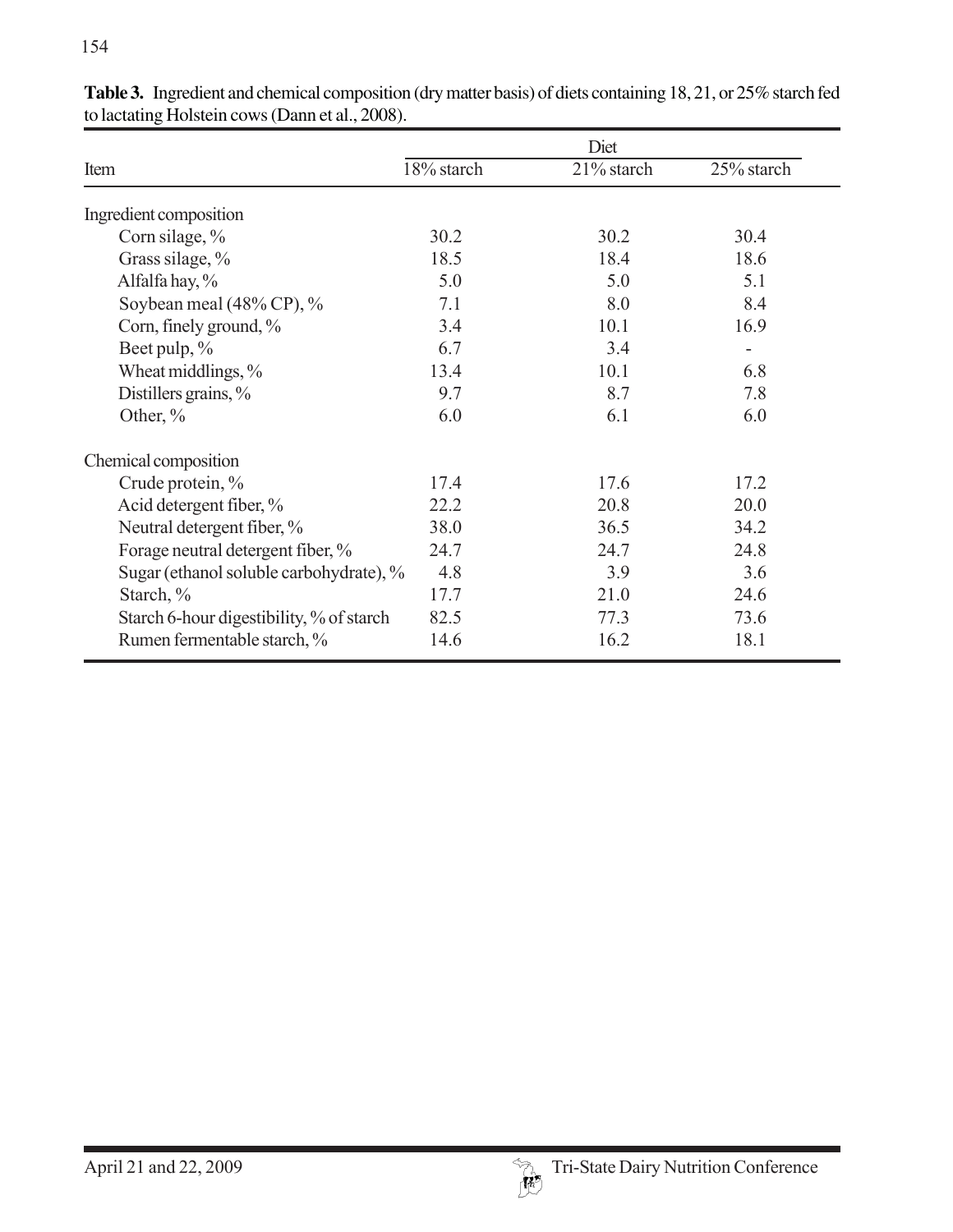|                                          |            | Diet       |            |
|------------------------------------------|------------|------------|------------|
| Item                                     | 18% starch | 21% starch | 25% starch |
| Ingredient composition                   |            |            |            |
| Corn silage, %                           | 30.2       | 30.2       | 30.4       |
| Grass silage, %                          | 18.5       | 18.4       | 18.6       |
| Alfalfa hay, %                           | 5.0        | 5.0        | 5.1        |
| Soybean meal (48% CP), %                 | 7.1        | 8.0        | 8.4        |
| Corn, finely ground, %                   | 3.4        | 10.1       | 16.9       |
| Beet pulp, %                             | 6.7        | 3.4        |            |
| Wheat middlings, %                       | 13.4       | 10.1       | 6.8        |
| Distillers grains, %                     | 9.7        | 8.7        | 7.8        |
| Other, %                                 | 6.0        | 6.1        | 6.0        |
| Chemical composition                     |            |            |            |
| Crude protein, %                         | 17.4       | 17.6       | 17.2       |
| Acid detergent fiber, %                  | 22.2       | 20.8       | 20.0       |
| Neutral detergent fiber, %               | 38.0       | 36.5       | 34.2       |
| Forage neutral detergent fiber, %        | 24.7       | 24.7       | 24.8       |
| Sugar (ethanol soluble carbohydrate), %  | 4.8        | 3.9        | 3.6        |
| Starch, %                                | 17.7       | 21.0       | 24.6       |
| Starch 6-hour digestibility, % of starch | 82.5       | 77.3       | 73.6       |
| Rumen fermentable starch, %              | 14.6       | 16.2       | 18.1       |

**Table 3.** Ingredient and chemical composition (dry matter basis) of diets containing 18, 21, or 25% starch fed to lactating Holstein cows (Dann et al., 2008).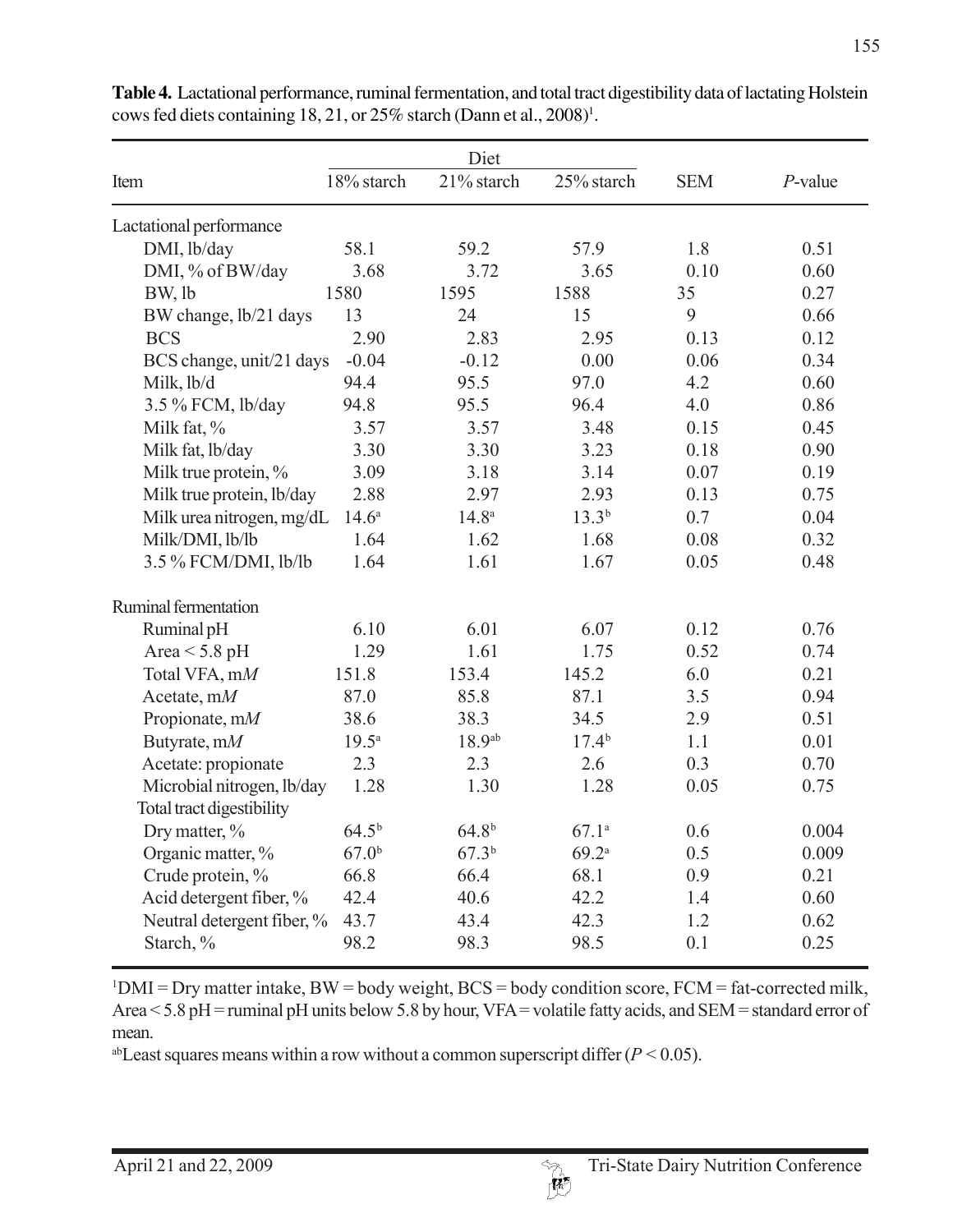|                            |                   | Diet              |                   |            |            |
|----------------------------|-------------------|-------------------|-------------------|------------|------------|
| Item                       | 18% starch        | 21% starch        | 25% starch        | <b>SEM</b> | $P$ -value |
| Lactational performance    |                   |                   |                   |            |            |
| DMI, lb/day                | 58.1              | 59.2              | 57.9              | 1.8        | 0.51       |
| DMI, % of BW/day           | 3.68              | 3.72              | 3.65              | 0.10       | 0.60       |
| BW, lb                     | 1580              | 1595              | 1588              | 35         | 0.27       |
| BW change, lb/21 days      | 13                | 24                | 15                | 9          | 0.66       |
| <b>BCS</b>                 | 2.90              | 2.83              | 2.95              | 0.13       | 0.12       |
| BCS change, unit/21 days   | $-0.04$           | $-0.12$           | 0.00              | 0.06       | 0.34       |
| Milk, lb/d                 | 94.4              | 95.5              | 97.0              | 4.2        | 0.60       |
| 3.5 % FCM, lb/day          | 94.8              | 95.5              | 96.4              | 4.0        | 0.86       |
| Milk fat, %                | 3.57              | 3.57              | 3.48              | 0.15       | 0.45       |
| Milk fat, lb/day           | 3.30              | 3.30              | 3.23              | 0.18       | 0.90       |
| Milk true protein, %       | 3.09              | 3.18              | 3.14              | 0.07       | 0.19       |
| Milk true protein, lb/day  | 2.88              | 2.97              | 2.93              | 0.13       | 0.75       |
| Milk urea nitrogen, mg/dL  | $14.6^{\circ}$    | $14.8^{a}$        | $13.3^{b}$        | 0.7        | 0.04       |
| Milk/DMI, lb/lb            | 1.64              | 1.62              | 1.68              | 0.08       | 0.32       |
| 3.5 % FCM/DMI, lb/lb       | 1.64              | 1.61              | 1.67              | 0.05       | 0.48       |
| Ruminal fermentation       |                   |                   |                   |            |            |
| Ruminal pH                 | 6.10              | 6.01              | 6.07              | 0.12       | 0.76       |
| Area $<$ 5.8 pH            | 1.29              | 1.61              | 1.75              | 0.52       | 0.74       |
| Total VFA, mM              | 151.8             | 153.4             | 145.2             | 6.0        | 0.21       |
| Acetate, $mM$              | 87.0              | 85.8              | 87.1              | 3.5        | 0.94       |
| Propionate, mM             | 38.6              | 38.3              | 34.5              | 2.9        | 0.51       |
| Butyrate, mM               | $19.5^{\text{a}}$ | 18.9ab            | 17.4 <sup>b</sup> | 1.1        | 0.01       |
| Acetate: propionate        | 2.3               | 2.3               | 2.6               | 0.3        | 0.70       |
| Microbial nitrogen, lb/day | 1.28              | 1.30              | 1.28              | 0.05       | 0.75       |
| Total tract digestibility  |                   |                   |                   |            |            |
| Dry matter, %              | $64.5^{b}$        | 64.8 <sup>b</sup> | 67.1a             | 0.6        | 0.004      |
| Organic matter, %          | 67.0 <sup>b</sup> | 67.3 <sup>b</sup> | 69.2a             | 0.5        | 0.009      |
| Crude protein, %           | 66.8              | 66.4              | 68.1              | 0.9        | 0.21       |
| Acid detergent fiber, %    | 42.4              | 40.6              | 42.2              | 1.4        | 0.60       |
| Neutral detergent fiber, % | 43.7              | 43.4              | 42.3              | 1.2        | 0.62       |
| Starch, %                  | 98.2              | 98.3              | 98.5              | 0.1        | 0.25       |

**Table 4.** Lactational performance, ruminal fermentation, and total tract digestibility data of lactating Holstein cows fed diets containing 18, 21, or  $25\%$  starch (Dann et al.,  $2008$ )<sup>1</sup>.

 $1$ DMI = Dry matter intake, BW = body weight, BCS = body condition score, FCM = fat-corrected milk, Area < 5.8 pH = ruminal pH units below 5.8 by hour, VFA = volatile fatty acids, and SEM = standard error of mean.

<sup>ab</sup>Least squares means within a row without a common superscript differ  $(P < 0.05)$ .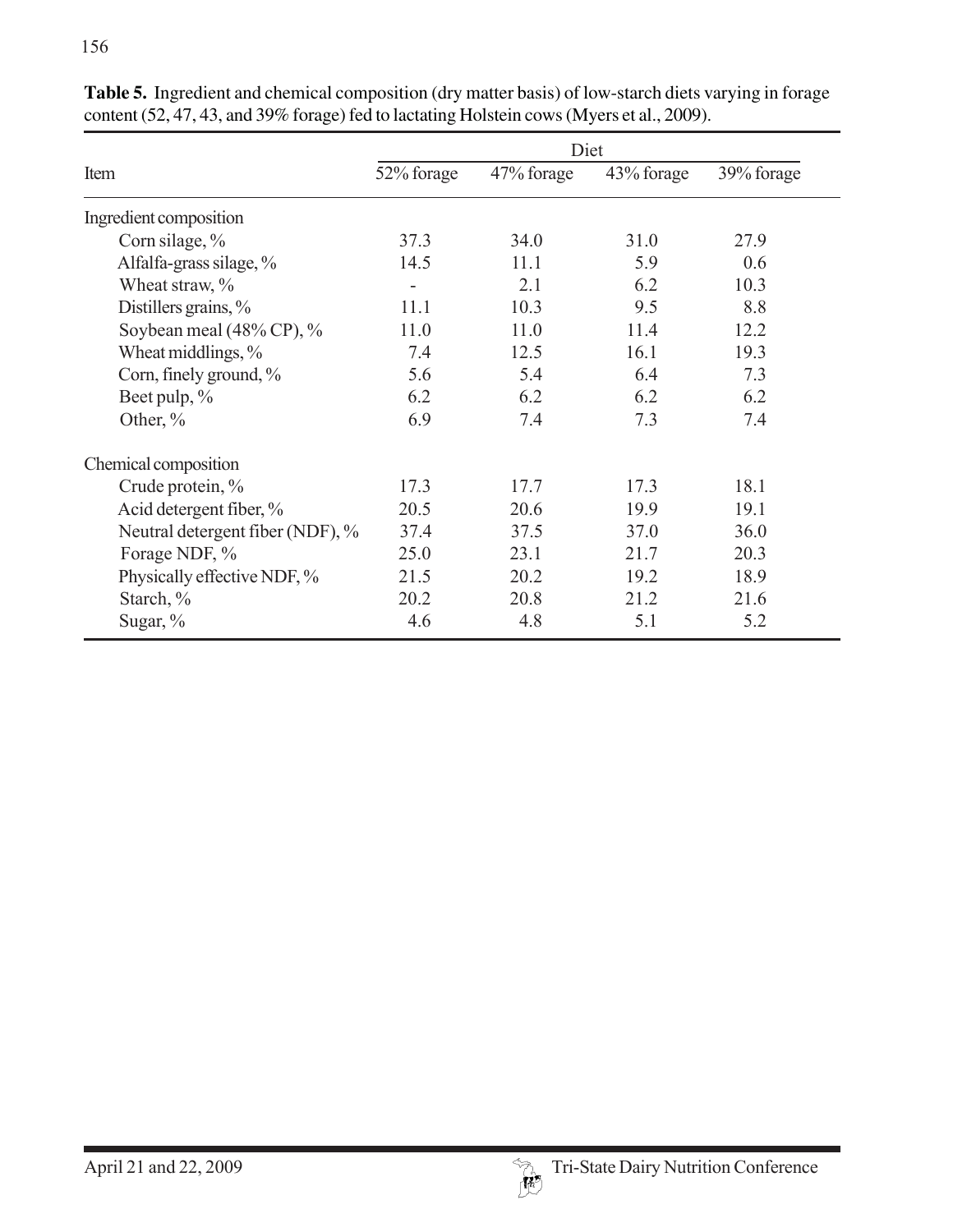|                                  |            | Diet       |            |            |
|----------------------------------|------------|------------|------------|------------|
| Item                             | 52% forage | 47% forage | 43% forage | 39% forage |
| Ingredient composition           |            |            |            |            |
| Corn silage, %                   | 37.3       | 34.0       | 31.0       | 27.9       |
| Alfalfa-grass silage, %          | 14.5       | 11.1       | 5.9        | 0.6        |
| Wheat straw, %                   | -          | 2.1        | 6.2        | 10.3       |
| Distillers grains, $\%$          | 11.1       | 10.3       | 9.5        | 8.8        |
| Soybean meal (48% CP), %         | 11.0       | 11.0       | 11.4       | 12.2       |
| Wheat middlings, %               | 7.4        | 12.5       | 16.1       | 19.3       |
| Corn, finely ground, %           | 5.6        | 5.4        | 6.4        | 7.3        |
| Beet pulp, %                     | 6.2        | 6.2        | 6.2        | 6.2        |
| Other, $%$                       | 6.9        | 7.4        | 7.3        | 7.4        |
| Chemical composition             |            |            |            |            |
| Crude protein, %                 | 17.3       | 17.7       | 17.3       | 18.1       |
| Acid detergent fiber, %          | 20.5       | 20.6       | 19.9       | 19.1       |
| Neutral detergent fiber (NDF), % | 37.4       | 37.5       | 37.0       | 36.0       |
| Forage NDF, %                    | 25.0       | 23.1       | 21.7       | 20.3       |
| Physically effective NDF, %      | 21.5       | 20.2       | 19.2       | 18.9       |
| Starch, %                        | 20.2       | 20.8       | 21.2       | 21.6       |
| Sugar, $%$                       | 4.6        | 4.8        | 5.1        | 5.2        |

**Table 5.** Ingredient and chemical composition (dry matter basis) of low-starch diets varying in forage content (52, 47, 43, and 39% forage) fed to lactating Holstein cows (Myers et al., 2009).